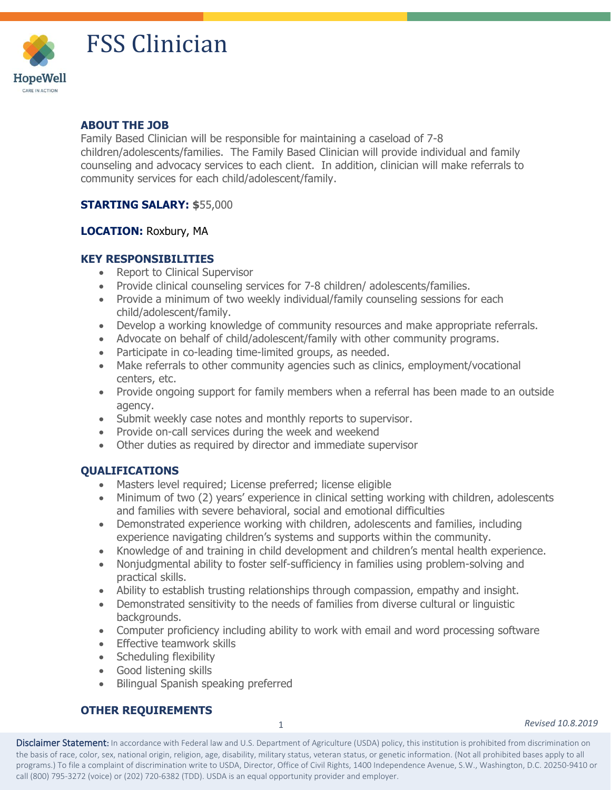

# FSS Clinician

#### **ABOUT THE JOB**

Family Based Clinician will be responsible for maintaining a caseload of 7-8 children/adolescents/families. The Family Based Clinician will provide individual and family counseling and advocacy services to each client. In addition, clinician will make referrals to community services for each child/adolescent/family.

#### **STARTING SALARY: \$**55,000

### **LOCATION:** Roxbury, MA

# **KEY RESPONSIBILITIES**

- Report to Clinical Supervisor
- Provide clinical counseling services for 7-8 children/ adolescents/families.
- Provide a minimum of two weekly individual/family counseling sessions for each child/adolescent/family.
- Develop a working knowledge of community resources and make appropriate referrals.
- Advocate on behalf of child/adolescent/family with other community programs.
- Participate in co-leading time-limited groups, as needed.
- Make referrals to other community agencies such as clinics, employment/vocational centers, etc.
- Provide ongoing support for family members when a referral has been made to an outside agency.
- Submit weekly case notes and monthly reports to supervisor.
- Provide on-call services during the week and weekend
- Other duties as required by director and immediate supervisor

# **QUALIFICATIONS**

- Masters level required; License preferred; license eligible
- Minimum of two (2) years' experience in clinical setting working with children, adolescents and families with severe behavioral, social and emotional difficulties
- Demonstrated experience working with children, adolescents and families, including experience navigating children's systems and supports within the community.
- Knowledge of and training in child development and children's mental health experience.
- Nonjudgmental ability to foster self-sufficiency in families using problem-solving and practical skills.
- Ability to establish trusting relationships through compassion, empathy and insight.
- Demonstrated sensitivity to the needs of families from diverse cultural or linguistic backgrounds.
- Computer proficiency including ability to work with email and word processing software
- Effective teamwork skills
- Scheduling flexibility
- Good listening skills
- Bilingual Spanish speaking preferred

# **OTHER REQUIREMENTS**

1

*Revised 10.8.2019*

Disclaimer Statement: In accordance with Federal law and U.S. Department of Agriculture (USDA) policy, this institution is prohibited from discrimination on the basis of race, color, sex, national origin, religion, age, disability, military status, veteran status, or genetic information. (Not all prohibited bases apply to all programs.) To file a complaint of discrimination write to USDA, Director, Office of Civil Rights, 1400 Independence Avenue, S.W., Washington, D.C. 20250-9410 or call (800) 795-3272 (voice) or (202) 720-6382 (TDD). USDA is an equal opportunity provider and employer.